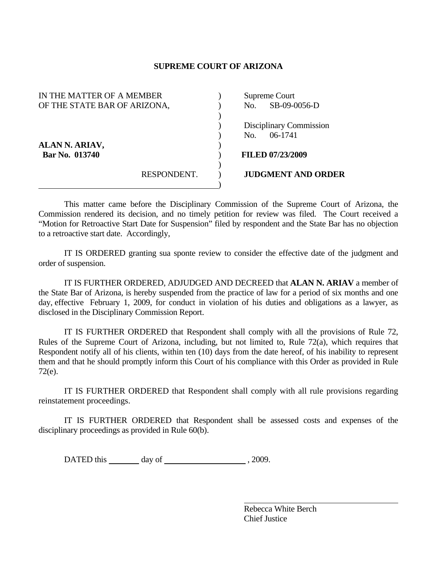## **SUPREME COURT OF ARIZONA**

| IN THE MATTER OF A MEMBER    |             | Supreme Court |                           |
|------------------------------|-------------|---------------|---------------------------|
| OF THE STATE BAR OF ARIZONA, |             | No.           | SB-09-0056-D              |
|                              |             |               |                           |
|                              |             |               | Disciplinary Commission   |
|                              |             | No.           | $06-1741$                 |
| ALAN N. ARIAV,               |             |               |                           |
| Bar No. 013740               |             |               | <b>FILED 07/23/2009</b>   |
|                              |             |               |                           |
|                              | RESPONDENT. |               | <b>JUDGMENT AND ORDER</b> |
|                              |             |               |                           |

 This matter came before the Disciplinary Commission of the Supreme Court of Arizona, the Commission rendered its decision, and no timely petition for review was filed. The Court received a "Motion for Retroactive Start Date for Suspension" filed by respondent and the State Bar has no objection to a retroactive start date. Accordingly,

 IT IS ORDERED granting sua sponte review to consider the effective date of the judgment and order of suspension.

 IT IS FURTHER ORDERED, ADJUDGED AND DECREED that **ALAN N. ARIAV** a member of the State Bar of Arizona, is hereby suspended from the practice of law for a period of six months and one day, effective February 1, 2009, for conduct in violation of his duties and obligations as a lawyer, as disclosed in the Disciplinary Commission Report.

 IT IS FURTHER ORDERED that Respondent shall comply with all the provisions of Rule 72, Rules of the Supreme Court of Arizona, including, but not limited to, Rule 72(a), which requires that Respondent notify all of his clients, within ten (10) days from the date hereof, of his inability to represent them and that he should promptly inform this Court of his compliance with this Order as provided in Rule 72(e).

 IT IS FURTHER ORDERED that Respondent shall comply with all rule provisions regarding reinstatement proceedings.

 IT IS FURTHER ORDERED that Respondent shall be assessed costs and expenses of the disciplinary proceedings as provided in Rule 60(b).

DATED this day of , 2009.

 Rebecca White Berch Chief Justice